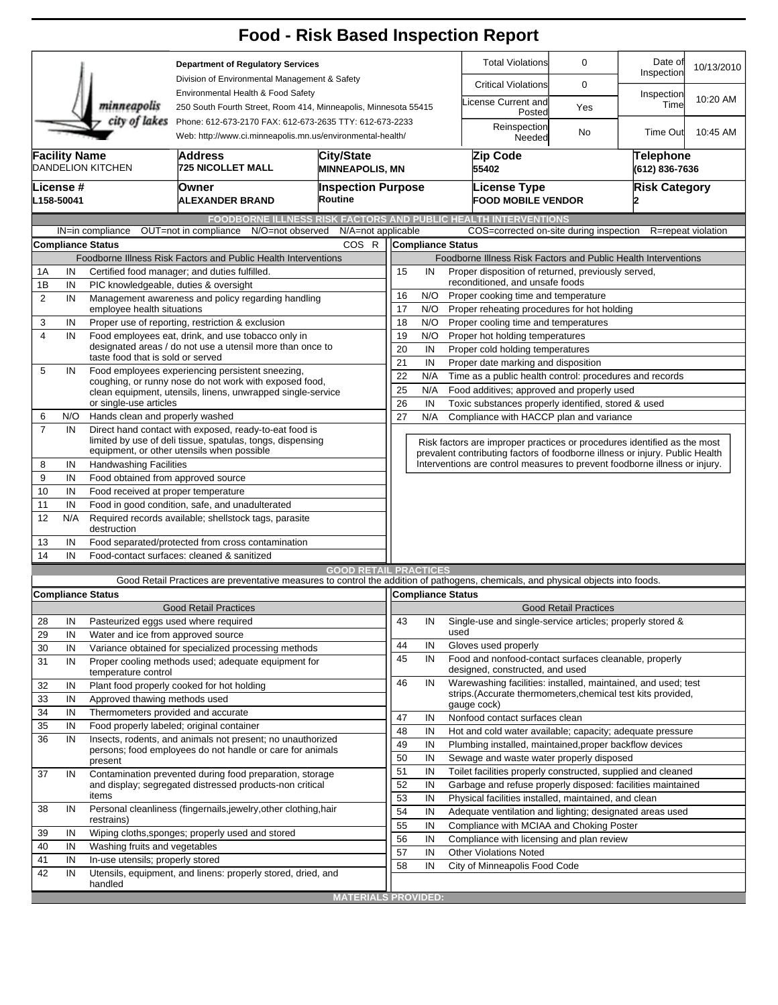|                         |                                                                                                                                        |                                                                  |                                                                                                                                   |                                        |                                                                |                                                                                                                         | <b>Food - Risk Based Inspection Report</b>                                   |                                    |                      |                    |  |  |  |  |  |
|-------------------------|----------------------------------------------------------------------------------------------------------------------------------------|------------------------------------------------------------------|-----------------------------------------------------------------------------------------------------------------------------------|----------------------------------------|----------------------------------------------------------------|-------------------------------------------------------------------------------------------------------------------------|------------------------------------------------------------------------------|------------------------------------|----------------------|--------------------|--|--|--|--|--|
|                         |                                                                                                                                        |                                                                  | <b>Department of Regulatory Services</b>                                                                                          |                                        |                                                                | <b>Total Violations</b>                                                                                                 | 0                                                                            | Date of<br>Inspection              | 10/13/2010           |                    |  |  |  |  |  |
|                         |                                                                                                                                        |                                                                  | Division of Environmental Management & Safety                                                                                     |                                        |                                                                |                                                                                                                         | <b>Critical Violations</b>                                                   | 0                                  |                      |                    |  |  |  |  |  |
|                         |                                                                                                                                        | minneapolis                                                      | Environmental Health & Food Safety<br>250 South Fourth Street, Room 414, Minneapolis, Minnesota 55415                             |                                        |                                                                |                                                                                                                         | icense Current and<br>Posted                                                 | Yes                                | Inspection<br>Time   | 10:20 AM           |  |  |  |  |  |
|                         | city of lakes<br>Phone: 612-673-2170 FAX: 612-673-2635 TTY: 612-673-2233<br>Web: http://www.ci.minneapolis.mn.us/environmental-health/ |                                                                  |                                                                                                                                   |                                        |                                                                |                                                                                                                         | Reinspection<br>Needed                                                       | No                                 | Time Out             | 10:45 AM           |  |  |  |  |  |
|                         | <b>Facility Name</b>                                                                                                                   | <b>DANDELION KITCHEN</b>                                         | <b>City/State</b><br><b>MINNEAPOLIS, MN</b>                                                                                       |                                        |                                                                | Zip Code<br>55402                                                                                                       |                                                                              | <b>Telephone</b><br>(612) 836-7636 |                      |                    |  |  |  |  |  |
|                         | License #<br>L158-50041                                                                                                                |                                                                  | Owner<br><b>ALEXANDER BRAND</b>                                                                                                   | <b>Inspection Purpose</b><br>Routine   |                                                                |                                                                                                                         | <b>License Type</b><br><b>FOOD MOBILE VENDOR</b>                             |                                    | <b>Risk Category</b> |                    |  |  |  |  |  |
|                         |                                                                                                                                        |                                                                  |                                                                                                                                   |                                        |                                                                |                                                                                                                         | <b>FOODBORNE ILLNESS RISK FACTORS AND PUBLIC HEALTH INTERVENTIONS</b>        |                                    |                      |                    |  |  |  |  |  |
|                         |                                                                                                                                        | IN=in compliance                                                 | OUT=not in compliance                                                                                                             | N/O=not observed<br>N/A=not applicable |                                                                |                                                                                                                         | COS=corrected on-site during inspection                                      |                                    |                      | R=repeat violation |  |  |  |  |  |
|                         |                                                                                                                                        | <b>Compliance Status</b>                                         |                                                                                                                                   | COS R                                  |                                                                |                                                                                                                         | <b>Compliance Status</b>                                                     |                                    |                      |                    |  |  |  |  |  |
|                         |                                                                                                                                        |                                                                  | Foodborne Illness Risk Factors and Public Health Interventions                                                                    |                                        |                                                                |                                                                                                                         | Foodborne Illness Risk Factors and Public Health Interventions               |                                    |                      |                    |  |  |  |  |  |
| 1A                      | IN                                                                                                                                     |                                                                  | Certified food manager; and duties fulfilled.                                                                                     |                                        | Proper disposition of returned, previously served,<br>15<br>IN |                                                                                                                         |                                                                              |                                    |                      |                    |  |  |  |  |  |
| 1B                      | IN<br>PIC knowledgeable, duties & oversight                                                                                            |                                                                  |                                                                                                                                   |                                        |                                                                |                                                                                                                         | reconditioned, and unsafe foods                                              |                                    |                      |                    |  |  |  |  |  |
| $\overline{2}$          | IN                                                                                                                                     |                                                                  | Management awareness and policy regarding handling                                                                                |                                        | 16                                                             | N/O                                                                                                                     | Proper cooking time and temperature                                          |                                    |                      |                    |  |  |  |  |  |
|                         |                                                                                                                                        | employee health situations                                       |                                                                                                                                   |                                        | 17<br>N/O<br>Proper reheating procedures for hot holding       |                                                                                                                         |                                                                              |                                    |                      |                    |  |  |  |  |  |
| 3                       | IN                                                                                                                                     |                                                                  | Proper use of reporting, restriction & exclusion                                                                                  |                                        | 18                                                             | N/O                                                                                                                     | Proper cooling time and temperatures                                         |                                    |                      |                    |  |  |  |  |  |
| $\overline{\mathbf{4}}$ | IN                                                                                                                                     |                                                                  | Food employees eat, drink, and use tobacco only in<br>designated areas / do not use a utensil more than once to                   |                                        | 19                                                             | N/O                                                                                                                     | Proper hot holding temperatures                                              |                                    |                      |                    |  |  |  |  |  |
|                         |                                                                                                                                        | taste food that is sold or served                                |                                                                                                                                   |                                        | 20<br>IN<br>Proper cold holding temperatures                   |                                                                                                                         |                                                                              |                                    |                      |                    |  |  |  |  |  |
| 5                       | IN                                                                                                                                     |                                                                  | Food employees experiencing persistent sneezing,                                                                                  |                                        |                                                                | 21<br>IN<br>Proper date marking and disposition                                                                         |                                                                              |                                    |                      |                    |  |  |  |  |  |
|                         |                                                                                                                                        |                                                                  | coughing, or runny nose do not work with exposed food,                                                                            |                                        |                                                                | 22<br>Time as a public health control: procedures and records<br>N/A                                                    |                                                                              |                                    |                      |                    |  |  |  |  |  |
|                         |                                                                                                                                        | or single-use articles                                           | clean equipment, utensils, linens, unwrapped single-service                                                                       |                                        | 25                                                             | N/A<br>Food additives; approved and properly used                                                                       |                                                                              |                                    |                      |                    |  |  |  |  |  |
| 6                       | N/O                                                                                                                                    | Hands clean and properly washed                                  |                                                                                                                                   |                                        |                                                                | 26<br>IN<br>Toxic substances properly identified, stored & used<br>27<br>N/A<br>Compliance with HACCP plan and variance |                                                                              |                                    |                      |                    |  |  |  |  |  |
| $\overline{7}$          | IN                                                                                                                                     |                                                                  | Direct hand contact with exposed, ready-to-eat food is                                                                            |                                        |                                                                |                                                                                                                         |                                                                              |                                    |                      |                    |  |  |  |  |  |
|                         |                                                                                                                                        |                                                                  | limited by use of deli tissue, spatulas, tongs, dispensing                                                                        |                                        |                                                                |                                                                                                                         | Risk factors are improper practices or procedures identified as the most     |                                    |                      |                    |  |  |  |  |  |
|                         | equipment, or other utensils when possible                                                                                             |                                                                  |                                                                                                                                   |                                        |                                                                |                                                                                                                         | prevalent contributing factors of foodborne illness or injury. Public Health |                                    |                      |                    |  |  |  |  |  |
| 8                       | IN                                                                                                                                     | <b>Handwashing Facilities</b>                                    |                                                                                                                                   |                                        |                                                                |                                                                                                                         | Interventions are control measures to prevent foodborne illness or injury.   |                                    |                      |                    |  |  |  |  |  |
| 9                       | IN                                                                                                                                     | Food obtained from approved source                               |                                                                                                                                   |                                        |                                                                |                                                                                                                         |                                                                              |                                    |                      |                    |  |  |  |  |  |
| 10                      | IN                                                                                                                                     | Food received at proper temperature                              |                                                                                                                                   |                                        |                                                                |                                                                                                                         |                                                                              |                                    |                      |                    |  |  |  |  |  |
| 11                      | IN                                                                                                                                     |                                                                  | Food in good condition, safe, and unadulterated                                                                                   |                                        |                                                                |                                                                                                                         |                                                                              |                                    |                      |                    |  |  |  |  |  |
| 12                      | N/A                                                                                                                                    | destruction                                                      | Required records available; shellstock tags, parasite                                                                             |                                        |                                                                |                                                                                                                         |                                                                              |                                    |                      |                    |  |  |  |  |  |
| 13                      | IN                                                                                                                                     |                                                                  | Food separated/protected from cross contamination                                                                                 |                                        |                                                                |                                                                                                                         |                                                                              |                                    |                      |                    |  |  |  |  |  |
| 14                      | IN                                                                                                                                     |                                                                  | Food-contact surfaces: cleaned & sanitized                                                                                        |                                        |                                                                |                                                                                                                         |                                                                              |                                    |                      |                    |  |  |  |  |  |
|                         |                                                                                                                                        |                                                                  |                                                                                                                                   | <b>GOOD RETAIL PRACTICES</b>           |                                                                |                                                                                                                         |                                                                              |                                    |                      |                    |  |  |  |  |  |
|                         |                                                                                                                                        |                                                                  | Good Retail Practices are preventative measures to control the addition of pathogens, chemicals, and physical objects into foods. |                                        |                                                                |                                                                                                                         |                                                                              |                                    |                      |                    |  |  |  |  |  |
|                         |                                                                                                                                        | <b>Compliance Status</b>                                         | <b>Good Retail Practices</b>                                                                                                      |                                        |                                                                |                                                                                                                         | Compliance Status                                                            | <b>Good Retail Practices</b>       |                      |                    |  |  |  |  |  |
| 28                      | IN                                                                                                                                     | Pasteurized eggs used where required                             |                                                                                                                                   |                                        | 43                                                             | IN                                                                                                                      | Single-use and single-service articles; properly stored &                    |                                    |                      |                    |  |  |  |  |  |
| 29                      | IN                                                                                                                                     | Water and ice from approved source                               |                                                                                                                                   |                                        |                                                                |                                                                                                                         | used                                                                         |                                    |                      |                    |  |  |  |  |  |
| 30                      | IN                                                                                                                                     |                                                                  | Variance obtained for specialized processing methods                                                                              |                                        | 44                                                             | IN                                                                                                                      | Gloves used properly                                                         |                                    |                      |                    |  |  |  |  |  |
| 31                      | IN                                                                                                                                     |                                                                  | Proper cooling methods used; adequate equipment for                                                                               |                                        | 45                                                             | IN                                                                                                                      | Food and nonfood-contact surfaces cleanable, properly                        |                                    |                      |                    |  |  |  |  |  |
|                         |                                                                                                                                        | temperature control                                              |                                                                                                                                   |                                        |                                                                |                                                                                                                         | designed, constructed, and used                                              |                                    |                      |                    |  |  |  |  |  |
| 32                      | IN                                                                                                                                     |                                                                  | Plant food properly cooked for hot holding                                                                                        |                                        | 46                                                             | IN                                                                                                                      | Warewashing facilities: installed, maintained, and used; test                |                                    |                      |                    |  |  |  |  |  |
| 33                      | IN                                                                                                                                     | Approved thawing methods used                                    |                                                                                                                                   |                                        |                                                                |                                                                                                                         | strips.(Accurate thermometers, chemical test kits provided,<br>gauge cock)   |                                    |                      |                    |  |  |  |  |  |
| 34                      | IN                                                                                                                                     | Thermometers provided and accurate                               |                                                                                                                                   |                                        | 47                                                             | IN                                                                                                                      | Nonfood contact surfaces clean                                               |                                    |                      |                    |  |  |  |  |  |
| 35                      | IN                                                                                                                                     |                                                                  | Food properly labeled; original container                                                                                         |                                        | 48                                                             | IN                                                                                                                      | Hot and cold water available; capacity; adequate pressure                    |                                    |                      |                    |  |  |  |  |  |
| 36                      | IN                                                                                                                                     |                                                                  | Insects, rodents, and animals not present; no unauthorized                                                                        |                                        | 49                                                             | IN                                                                                                                      | Plumbing installed, maintained, proper backflow devices                      |                                    |                      |                    |  |  |  |  |  |
|                         |                                                                                                                                        | present                                                          | persons; food employees do not handle or care for animals                                                                         |                                        | 50                                                             | IN                                                                                                                      | Sewage and waste water properly disposed                                     |                                    |                      |                    |  |  |  |  |  |
| 37                      | IN                                                                                                                                     |                                                                  | Contamination prevented during food preparation, storage                                                                          |                                        | 51                                                             | IN                                                                                                                      | Toilet facilities properly constructed, supplied and cleaned                 |                                    |                      |                    |  |  |  |  |  |
|                         |                                                                                                                                        |                                                                  | and display; segregated distressed products-non critical                                                                          |                                        | 52                                                             | IN                                                                                                                      | Garbage and refuse properly disposed: facilities maintained                  |                                    |                      |                    |  |  |  |  |  |
|                         |                                                                                                                                        | items                                                            |                                                                                                                                   |                                        |                                                                | 53<br>IN<br>Physical facilities installed, maintained, and clean                                                        |                                                                              |                                    |                      |                    |  |  |  |  |  |
| 38                      | IN                                                                                                                                     | Personal cleanliness (fingernails, jewelry, other clothing, hair |                                                                                                                                   |                                        |                                                                | 54<br>IN<br>Adequate ventilation and lighting; designated areas used                                                    |                                                                              |                                    |                      |                    |  |  |  |  |  |
|                         |                                                                                                                                        | restrains)                                                       |                                                                                                                                   |                                        |                                                                | IN                                                                                                                      | Compliance with MCIAA and Choking Poster                                     |                                    |                      |                    |  |  |  |  |  |
| 39                      | IN                                                                                                                                     |                                                                  | Wiping cloths, sponges; properly used and stored                                                                                  |                                        | 56                                                             | IN                                                                                                                      | Compliance with licensing and plan review                                    |                                    |                      |                    |  |  |  |  |  |
| 40                      | IN                                                                                                                                     | Washing fruits and vegetables                                    |                                                                                                                                   |                                        | 57                                                             | IN                                                                                                                      | <b>Other Violations Noted</b>                                                |                                    |                      |                    |  |  |  |  |  |
| 41                      | IN                                                                                                                                     | In-use utensils; properly stored                                 |                                                                                                                                   |                                        | 58                                                             | IN                                                                                                                      | City of Minneapolis Food Code                                                |                                    |                      |                    |  |  |  |  |  |
| 42                      | IN                                                                                                                                     | handled                                                          | Utensils, equipment, and linens: properly stored, dried, and                                                                      |                                        |                                                                |                                                                                                                         |                                                                              |                                    |                      |                    |  |  |  |  |  |
|                         |                                                                                                                                        |                                                                  |                                                                                                                                   | <b>MATERIALS PROVIDED:</b>             |                                                                |                                                                                                                         |                                                                              |                                    |                      |                    |  |  |  |  |  |
|                         |                                                                                                                                        |                                                                  |                                                                                                                                   |                                        |                                                                |                                                                                                                         |                                                                              |                                    |                      |                    |  |  |  |  |  |